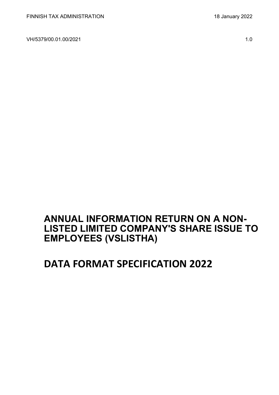VH/5379/00.01.00/2021 1.0

## **ANNUAL INFORMATION RETURN ON A NON-LISTED LIMITED COMPANY'S SHARE ISSUE TO EMPLOYEES (VSLISTHA)**

# **DATA FORMAT SPECIFICATION 2022**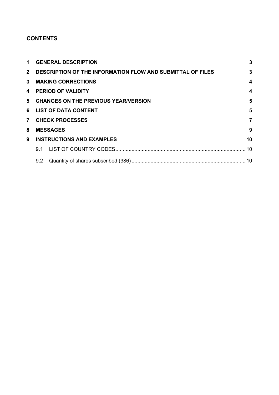## **CONTENTS**

| $\mathbf 1$    |     | <b>GENERAL DESCRIPTION</b>                                   | 3                       |
|----------------|-----|--------------------------------------------------------------|-------------------------|
|                |     | 2 DESCRIPTION OF THE INFORMATION FLOW AND SUBMITTAL OF FILES | $\mathbf{3}$            |
|                |     | 3 MAKING CORRECTIONS                                         | 4                       |
|                |     | 4 PERIOD OF VALIDITY                                         | $\overline{\mathbf{4}}$ |
|                |     | 5 CHANGES ON THE PREVIOUS YEAR/VERSION                       | 5                       |
|                |     | 6 LIST OF DATA CONTENT                                       | 5                       |
| $\overline{7}$ |     | <b>CHECK PROCESSES</b>                                       | 7                       |
| 8              |     | <b>MESSAGES</b>                                              | 9                       |
| 9              |     | <b>INSTRUCTIONS AND EXAMPLES</b>                             | 10                      |
|                |     |                                                              |                         |
|                | 9.2 |                                                              |                         |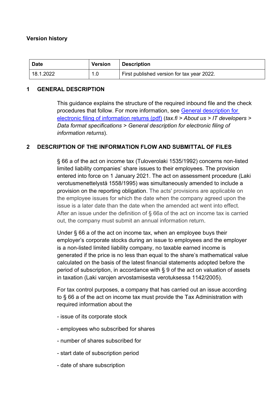## **Version history**

| <b>Date</b> | <b>Version</b>   | <b>∣ Description</b>                       |
|-------------|------------------|--------------------------------------------|
| 18.1.2022   | 1.0 <sub>1</sub> | First published version for tax year 2022. |

#### <span id="page-2-0"></span>**1 GENERAL DESCRIPTION**

This guidance explains the structure of the required inbound file and the check procedures that follow. For more information, see [General description for](https://www.vero.fi/globalassets/tietoa-verohallinnosta/ohjelmistokehittajille/finnish-tax-administration_electronic-filing-of-information-returns-general-description.pdf)  [electronic filing of information returns \(pdf\)](https://www.vero.fi/globalassets/tietoa-verohallinnosta/ohjelmistokehittajille/finnish-tax-administration_electronic-filing-of-information-returns-general-description.pdf) (*tax.fi > About us > IT developers > Data format specifications > General description for electronic filing of information returns*).

## <span id="page-2-1"></span>**2 DESCRIPTION OF THE INFORMATION FLOW AND SUBMITTAL OF FILES**

§ 66 a of the act on income tax (Tuloverolaki 1535/1992) concerns non-listed limited liability companies' share issues to their employees. The provision entered into force on 1 January 2021. The act on assessment procedure (Laki verotusmenettelystä 1558/1995) was simultaneously amended to include a provision on the reporting obligation. The acts' provisions are applicable on the employee issues for which the date when the company agreed upon the issue is a later date than the date when the amended act went into effect. After an issue under the definition of § 66a of the act on income tax is carried out, the company must submit an annual information return.

Under § 66 a of the act on income tax, when an employee buys their employer's corporate stocks during an issue to employees and the employer is a non-listed limited liability company, no taxable earned income is generated if the price is no less than equal to the share's mathematical value calculated on the basis of the latest financial statements adopted before the period of subscription, in accordance with § 9 of the act on valuation of assets in taxation (Laki varojen arvostamisesta verotuksessa 1142/2005).

For tax control purposes, a company that has carried out an issue according to § 66 a of the act on income tax must provide the Tax Administration with required information about the

- issue of its corporate stock
- employees who subscribed for shares
- number of shares subscribed for
- start date of subscription period
- date of share subscription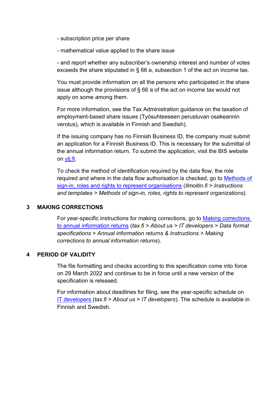- subscription price per share
- mathematical value applied to the share issue

- and report whether any subscriber's ownership interest and number of votes exceeds the share stipulated in § 66 a, subsection 1 of the act on income tax.

You must provide information on all the persons who participated in the share issue although the provisions of § 66 a of the act on income tax would not apply on some among them.

For more information, see the Tax Administration guidance on the taxation of employment-based share issues (Työsuhteeseen perustuvan osakeannin verotus), which is available in Finnish and Swedish).

If the issuing company has no Finnish Business ID, the company must submit an application for a Finnish Business ID. This is necessary for the submittal of the annual information return. To submit the application, visit the BIS website on [ytj.fi.](https://www.ytj.fi/en/index/notifications/start-upnotifications/foreignbusiness.html)

To check the method of identification required by the data flow, the role required and where in the data flow authorisation is checked, go to [Methods of](https://www.ilmoitin.fi/webtamo/sivut/IlmoituslajiRoolit?kieli=en&tv=VSLISTHA)  [sign-in, roles and rights to represent organisations](https://www.ilmoitin.fi/webtamo/sivut/IlmoituslajiRoolit?kieli=en&tv=VSLISTHA) (*[Ilmoitin.fi > Instructions](https://www.ilmoitin.fi/webtamo/sivut/IlmoituslajiRoolit?kieli=en)  [and templates > Methods of sign-in, roles, rights to represent organizations\)](https://www.ilmoitin.fi/webtamo/sivut/IlmoituslajiRoolit?kieli=en)*.

## <span id="page-3-0"></span>**3 MAKING CORRECTIONS**

For year-specific instructions for making corrections, go to [Making corrections](https://www.vero.fi/en/About-us/it_developer/data-format-specifications/annual_information_returns__instruction/making-corrections-to-annual-information-returns/)  [to annual information returns](https://www.vero.fi/en/About-us/it_developer/data-format-specifications/annual_information_returns__instruction/making-corrections-to-annual-information-returns/) (*tax.fi > About us > IT developers > Data format specifications > Annual information returns & Instructions > Making corrections to annual information returns*).

#### <span id="page-3-1"></span>**4 PERIOD OF VALIDITY**

The file formatting and checks according to this specification come into force on 29 March 2022 and continue to be in force until a new version of the specification is released.

For information about deadlines for filing, see the year-specific schedule on IT [developers \(](https://www.vero.fi/tietoa-verohallinnosta/kehittaja/)*tax.fi > About us > IT developers*). The schedule is available in Finnish and Swedish.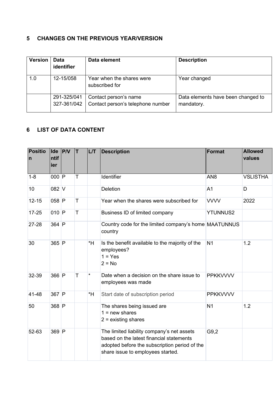## <span id="page-4-0"></span>**5 CHANGES ON THE PREVIOUS YEAR/VERSION**

| <b>Version</b> | <b>Data</b><br>identifier  | Data element                                               | <b>Description</b>                               |
|----------------|----------------------------|------------------------------------------------------------|--------------------------------------------------|
| 1.0            | 12-15/058                  | Year when the shares were<br>subscribed for                | Year changed                                     |
|                | 291-325/041<br>327-361/042 | Contact person's name<br>Contact person's telephone number | Data elements have been changed to<br>mandatory. |

## <span id="page-4-1"></span>**6 LIST OF DATA CONTENT**

| <b>Positio</b><br>$\mathsf{n}$ | <b>Ide</b><br>ntif<br>ier | P/V | T. | LT      | <b>Description</b>                                                                                                                                                           | Format          | <b>Allowed</b><br>values |
|--------------------------------|---------------------------|-----|----|---------|------------------------------------------------------------------------------------------------------------------------------------------------------------------------------|-----------------|--------------------------|
| $1 - 8$                        | $000$ P                   |     | T. |         | Identifier                                                                                                                                                                   | AN <sub>8</sub> | <b>VSLISTHA</b>          |
| 10                             | 082 V                     |     |    |         | <b>Deletion</b>                                                                                                                                                              | A <sub>1</sub>  | D                        |
| $12 - 15$                      | 058 P                     |     | T  |         | Year when the shares were subscribed for                                                                                                                                     | <b>VVVV</b>     | 2022                     |
| $17 - 25$                      | 010 $ P $                 |     | T  |         | Business ID of limited company                                                                                                                                               | <b>YTUNNUS2</b> |                          |
| 27-28                          | $364$ P                   |     |    |         | Country code for the limited company's home MAATUNNUS<br>country                                                                                                             |                 |                          |
| 30                             | 365 P                     |     |    | *H      | Is the benefit available to the majority of the<br>employees?<br>$1 = Yes$<br>$2 = No$                                                                                       | N <sub>1</sub>  | 1.2                      |
| 32-39                          | 366 P                     |     | T  | $\star$ | Date when a decision on the share issue to<br>employees was made                                                                                                             | <b>PPKKVVVV</b> |                          |
| 41-48                          | 367 P                     |     |    | $*H$    | Start date of subscription period                                                                                                                                            | <b>PPKKVVVV</b> |                          |
| 50                             | 368 P                     |     |    |         | The shares being issued are<br>$1 = new shares$<br>$2 =$ existing shares                                                                                                     | N <sub>1</sub>  | 1.2                      |
| 52-63                          | $369$ P                   |     |    |         | The limited liability company's net assets<br>based on the latest financial statements<br>adopted before the subscription period of the<br>share issue to employees started. | G9,2            |                          |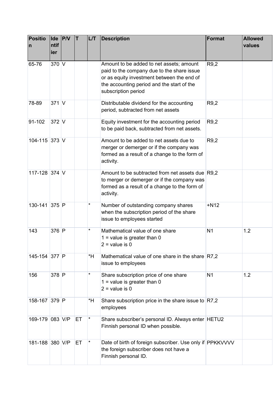| <b>Positio</b><br>n | $ $ lde $ $ P/V<br>ntif<br>lier | T  | L/T | <b>Description</b>                                                                                                                                                                                        | <b>Format</b>  | <b>Allowed</b><br>values |
|---------------------|---------------------------------|----|-----|-----------------------------------------------------------------------------------------------------------------------------------------------------------------------------------------------------------|----------------|--------------------------|
| 65-76               | $370$ V                         |    |     | Amount to be added to net assets; amount<br>paid to the company due to the share issue<br>or as equity investment between the end of<br>the accounting period and the start of the<br>subscription period | R9,2           |                          |
| 78-89               | $371$ V                         |    |     | Distributable dividend for the accounting<br>period, subtracted from net assets                                                                                                                           | R9,2           |                          |
| 91-102              | $372$ V                         |    |     | Equity investment for the accounting period<br>to be paid back, subtracted from net assets.                                                                                                               | R9,2           |                          |
| 104-115 373 V       |                                 |    |     | Amount to be added to net assets due to<br>merger or demerger or if the company was<br>formed as a result of a change to the form of<br>activity.                                                         | R9,2           |                          |
| 117-128 374 V       |                                 |    |     | Amount to be subtracted from net assets due R9,2<br>to merger or demerger or if the company was<br>formed as a result of a change to the form of<br>activity.                                             |                |                          |
| 130-141 375 P       |                                 |    | *   | Number of outstanding company shares<br>when the subscription period of the share<br>issue to employees started                                                                                           | $+N12$         |                          |
| 143                 | 376 P                           |    | *   | Mathematical value of one share<br>$1 =$ value is greater than 0<br>$2$ = value is 0                                                                                                                      | N <sub>1</sub> | 1.2                      |
| 145-154 377 P       |                                 |    | *H  | Mathematical value of one share in the share $ R7,2\rangle$<br>issue to employees                                                                                                                         |                |                          |
| 156                 | 378 P                           |    | *   | Share subscription price of one share<br>$1 =$ value is greater than 0<br>$2 =$ value is 0                                                                                                                | N <sub>1</sub> | 1.2                      |
| 158-167 379 P       |                                 |    | *H  | Share subscription price in the share issue to $R7,2$<br>employees                                                                                                                                        |                |                          |
| 169-179 083 V/P     |                                 | ET |     | Share subscriber's personal ID. Always enter HETU2<br>Finnish personal ID when possible.                                                                                                                  |                |                          |
| 181-188 380 V/P     |                                 | ET |     | Date of birth of foreign subscriber. Use only if PPKKVVVV<br>the foreign subscriber does not have a<br>Finnish personal ID.                                                                               |                |                          |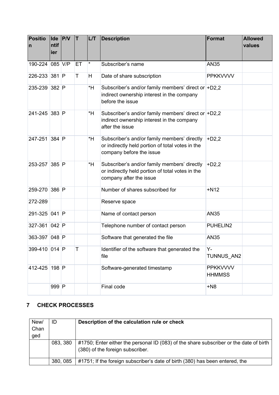| <b>Positio</b><br>n | <b>Ide</b><br>ntif<br>ier | P/V | IT. | LT      | <b>Description</b>                                                                                                           | <b>Format</b>                    | <b>Allowed</b><br>values |
|---------------------|---------------------------|-----|-----|---------|------------------------------------------------------------------------------------------------------------------------------|----------------------------------|--------------------------|
| 190-224 085 V/P     |                           |     | ET  | $\star$ | Subscriber's name                                                                                                            | <b>AN35</b>                      |                          |
| 226-233 381 P       |                           |     | T   | H       | Date of share subscription                                                                                                   | <b>PPKKVVVV</b>                  |                          |
| 235-239 382 P       |                           |     |     | $*H$    | Subscriber's and/or family members' direct or $+D2,2$<br>indirect ownership interest in the company<br>before the issue      |                                  |                          |
| 241-245 383 P       |                           |     |     | *H      | Subscriber's and/or family members' direct or $+D2,2$<br>indirect ownership interest in the company<br>after the issue       |                                  |                          |
| 247-251 384 P       |                           |     |     | *H      | Subscriber's and/or family members' directly<br>or indirectly held portion of total votes in the<br>company before the issue | $+D2,2$                          |                          |
| 253-257 385 P       |                           |     |     | *H      | Subscriber's and/or family members' directly<br>or indirectly held portion of total votes in the<br>company after the issue  | $+D2,2$                          |                          |
| 259-270 386 P       |                           |     |     |         | Number of shares subscribed for                                                                                              | $+N12$                           |                          |
| 272-289             |                           |     |     |         | Reserve space                                                                                                                |                                  |                          |
| 291-325 041 P       |                           |     |     |         | Name of contact person                                                                                                       | <b>AN35</b>                      |                          |
| 327-361 042 P       |                           |     |     |         | Telephone number of contact person                                                                                           | PUHELIN2                         |                          |
| 363-397 048 P       |                           |     |     |         | Software that generated the file                                                                                             | <b>AN35</b>                      |                          |
| 399-410 014 P       |                           |     | T   |         | Identifier of the software that generated the<br>file                                                                        | Υ-<br>TUNNUS_AN2                 |                          |
| 412-425 198 P       |                           |     |     |         | Software-generated timestamp                                                                                                 | <b>PPKKVVVV</b><br><b>HHMMSS</b> |                          |
|                     | 999 P                     |     |     |         | Final code                                                                                                                   | $+N8$                            |                          |

## <span id="page-6-0"></span>**7 CHECK PROCESSES**

| New/<br>Chan | ID       | Description of the calculation rule or check                                                                                      |
|--------------|----------|-----------------------------------------------------------------------------------------------------------------------------------|
| ged          |          |                                                                                                                                   |
|              | 083, 380 | $\mid$ #1750; Enter either the personal ID (083) of the share subscriber or the date of birth<br>(380) of the foreign subscriber. |
|              | 380, 085 | $\mid$ #1751; If the foreign subscriber's date of birth (380) has been entered, the                                               |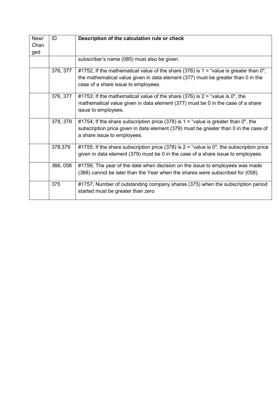| New/ | ID       | Description of the calculation rule or check                                                                                                                                                                       |
|------|----------|--------------------------------------------------------------------------------------------------------------------------------------------------------------------------------------------------------------------|
| Chan |          |                                                                                                                                                                                                                    |
| ged  |          |                                                                                                                                                                                                                    |
|      |          | subscriber's name (085) must also be given.                                                                                                                                                                        |
|      | 376, 377 | #1752; If the mathematical value of the share (376) is $1 =$ "value is greater than 0",<br>the mathematical value given in data element (377) must be greater than 0 in the<br>case of a share issue to employees. |
|      | 376, 377 | #1753; If the mathematical value of the share (376) is $2 =$ "value is 0", the<br>mathematical value given in data element (377) must be 0 in the case of a share<br>issue to employees.                           |
|      | 378, 379 | #1754; If the share subscription price (378) is $1 =$ "value is greater than 0", the<br>subscription price given in data element (379) must be greater than 0 in the case of<br>a share issue to employees.        |
|      | 378,379  | #1755; If the share subscription price (378) is $2 =$ "value is 0", the subscription price<br>given in data element (379) must be 0 in the case of a share issue to employees.                                     |
|      | 366, 058 | #1756; The year of the date when decision on the issue to employees was made<br>(366) cannot be later than the Year when the shares were subscribed for (058).                                                     |
|      | 375      | #1757; Number of outstanding company shares (375) when the subscription period<br>started must be greater than zero                                                                                                |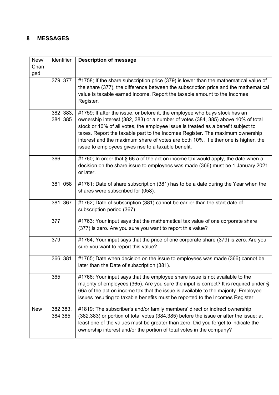## <span id="page-8-0"></span>**8 MESSAGES**

| New/        | Identifier            | <b>Description of message</b>                                                                                                                                                                                                                                                                                                                                                                                                                                                     |
|-------------|-----------------------|-----------------------------------------------------------------------------------------------------------------------------------------------------------------------------------------------------------------------------------------------------------------------------------------------------------------------------------------------------------------------------------------------------------------------------------------------------------------------------------|
| Chan<br>ged |                       |                                                                                                                                                                                                                                                                                                                                                                                                                                                                                   |
|             | 379, 377              | #1758; If the share subscription price (379) is lower than the mathematical value of<br>the share (377), the difference between the subscription price and the mathematical<br>value is taxable earned income. Report the taxable amount to the Incomes<br>Register.                                                                                                                                                                                                              |
|             | 382, 383,<br>384, 385 | #1759; If after the issue, or before it, the employee who buys stock has an<br>ownership interest (382, 383) or a number of votes (384, 385) above 10% of total<br>stock or 10% of all votes, the employee issue is treated as a benefit subject to<br>taxes. Report the taxable part to the Incomes Register. The maximum ownership<br>interest and the maximum share of votes are both 10%. If either one is higher, the<br>issue to employees gives rise to a taxable benefit. |
|             | 366                   | #1760; In order that § 66 a of the act on income tax would apply, the date when a<br>decision on the share issue to employees was made (366) must be 1 January 2021<br>or later.                                                                                                                                                                                                                                                                                                  |
|             | 381, 058              | #1761; Date of share subscription (381) has to be a date during the Year when the<br>shares were subscribed for (058).                                                                                                                                                                                                                                                                                                                                                            |
|             | 381, 367              | #1762; Date of subscription (381) cannot be earlier than the start date of<br>subscription period (367).                                                                                                                                                                                                                                                                                                                                                                          |
|             | 377                   | #1763; Your input says that the mathematical tax value of one corporate share<br>(377) is zero. Are you sure you want to report this value?                                                                                                                                                                                                                                                                                                                                       |
|             | 379                   | #1764; Your input says that the price of one corporate share (379) is zero. Are you<br>sure you want to report this value?                                                                                                                                                                                                                                                                                                                                                        |
|             | 366, 381              | #1765; Date when decision on the issue to employees was made (366) cannot be<br>later than the Date of subscription (381).                                                                                                                                                                                                                                                                                                                                                        |
|             | 365                   | #1766; Your input says that the employee share issue is not available to the<br>majority of employees (365). Are you sure the input is correct? It is required under §<br>66a of the act on income tax that the issue is available to the majority. Employee<br>issues resulting to taxable benefits must be reported to the Incomes Register.                                                                                                                                    |
| <b>New</b>  | 382,383,<br>384,385   | #1819; The subscriber's and/or family members' direct or indirect ownership<br>(382,383) or portion of total votes (384,385) before the issue or after the issue: at<br>least one of the values must be greater than zero. Did you forget to indicate the<br>ownership interest and/or the portion of total votes in the company?                                                                                                                                                 |